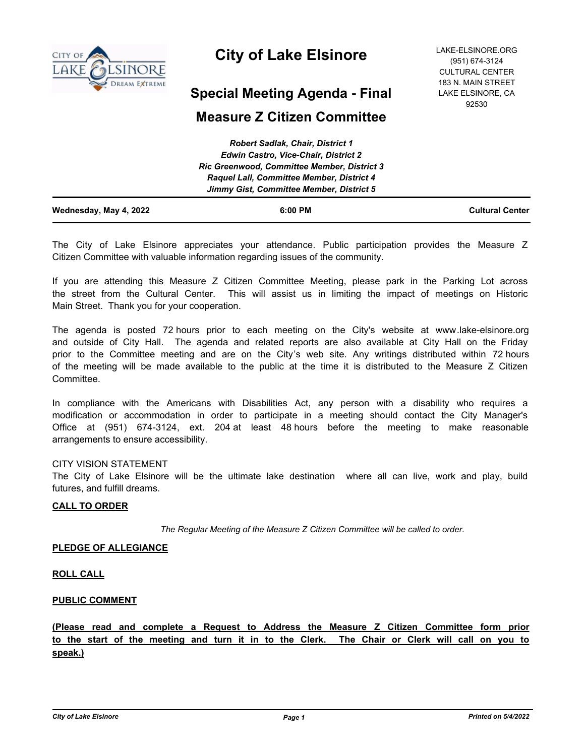

# **City of Lake Elsinore**

## **Special Meeting Agenda - Final**

## **Measure Z Citizen Committee**

| Wednesday, May 4, 2022 | 6:00 PM                                            | <b>Cultural Center</b> |
|------------------------|----------------------------------------------------|------------------------|
|                        | Jimmy Gist, Committee Member, District 5           |                        |
|                        | <b>Raquel Lall, Committee Member, District 4</b>   |                        |
|                        | <b>Ric Greenwood, Committee Member, District 3</b> |                        |
|                        | <b>Edwin Castro, Vice-Chair, District 2</b>        |                        |
|                        | <b>Robert Sadlak, Chair, District 1</b>            |                        |

The City of Lake Elsinore appreciates your attendance. Public participation provides the Measure Z Citizen Committee with valuable information regarding issues of the community.

If you are attending this Measure Z Citizen Committee Meeting, please park in the Parking Lot across the street from the Cultural Center. This will assist us in limiting the impact of meetings on Historic Main Street. Thank you for your cooperation.

The agenda is posted 72 hours prior to each meeting on the City's website at www.lake-elsinore.org and outside of City Hall. The agenda and related reports are also available at City Hall on the Friday prior to the Committee meeting and are on the City's web site. Any writings distributed within 72 hours of the meeting will be made available to the public at the time it is distributed to the Measure Z Citizen Committee.

In compliance with the Americans with Disabilities Act, any person with a disability who requires a modification or accommodation in order to participate in a meeting should contact the City Manager's Office at (951) 674-3124, ext. 204 at least 48 hours before the meeting to make reasonable arrangements to ensure accessibility.

## CITY VISION STATEMENT

The City of Lake Elsinore will be the ultimate lake destination where all can live, work and play, build futures, and fulfill dreams.

#### **CALL TO ORDER**

*The Regular Meeting of the Measure Z Citizen Committee will be called to order.*

#### **PLEDGE OF ALLEGIANCE**

**ROLL CALL**

#### **PUBLIC COMMENT**

**(Please read and complete a Request to Address the Measure Z Citizen Committee form prior to the start of the meeting and turn it in to the Clerk. The Chair or Clerk will call on you to speak.)**

LAKE-ELSINORE.ORG (951) 674-3124 CULTURAL CENTER 183 N. MAIN STREET LAKE ELSINORE, CA 92530